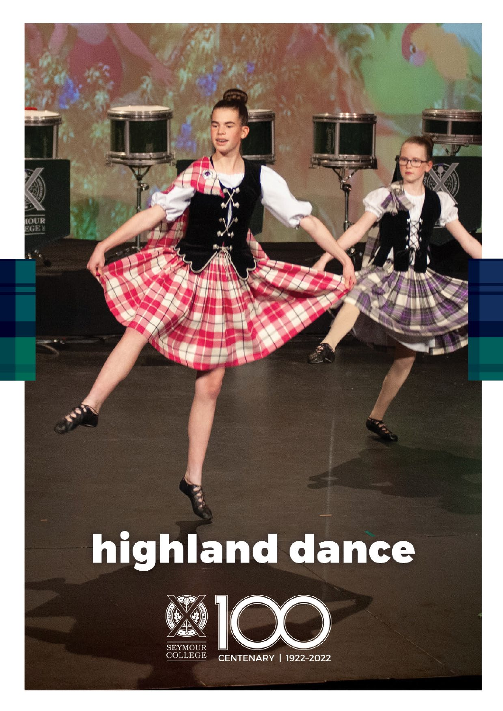## highland dance



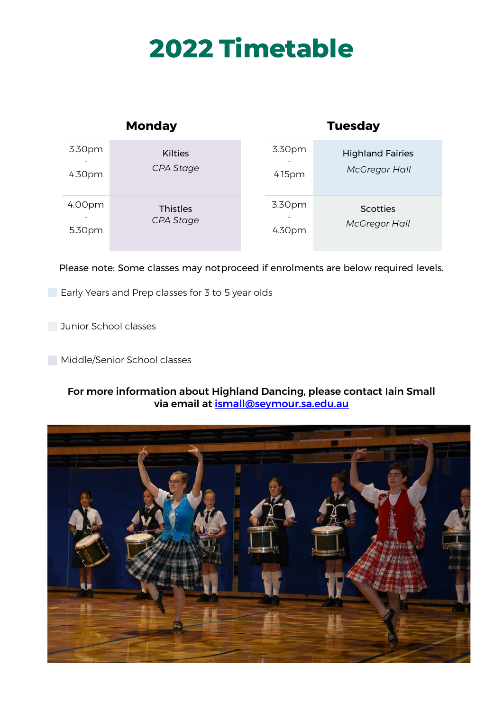## **2022 Timetable**

| <b>Monday</b> |                 | <b>Tuesday</b> |                         |
|---------------|-----------------|----------------|-------------------------|
| 3.30pm        | <b>Kilties</b>  | 3.30pm         | <b>Highland Fairies</b> |
| 4.30pm        | CPA Stage       | 4.15pm         | <b>McGregor Hall</b>    |
| 4.00pm        | <b>Thistles</b> | 3.30pm         | <b>Scotties</b>         |
| 5.30pm        | CPA Stage       | 4.30pm         | <b>McGregor Hall</b>    |

Please note: Some classes may notproceed if enrolments are below required levels.

**Early Years and Prep classes for 3 to 5 year olds** 

**Junior School classes** 

Middle/Senior School classes

## For more information about Highland Dancing, please contact Iain Small via email at [ismall@seymour.sa.edu.au](mailto:ismall@seymour.sa.edu.au)